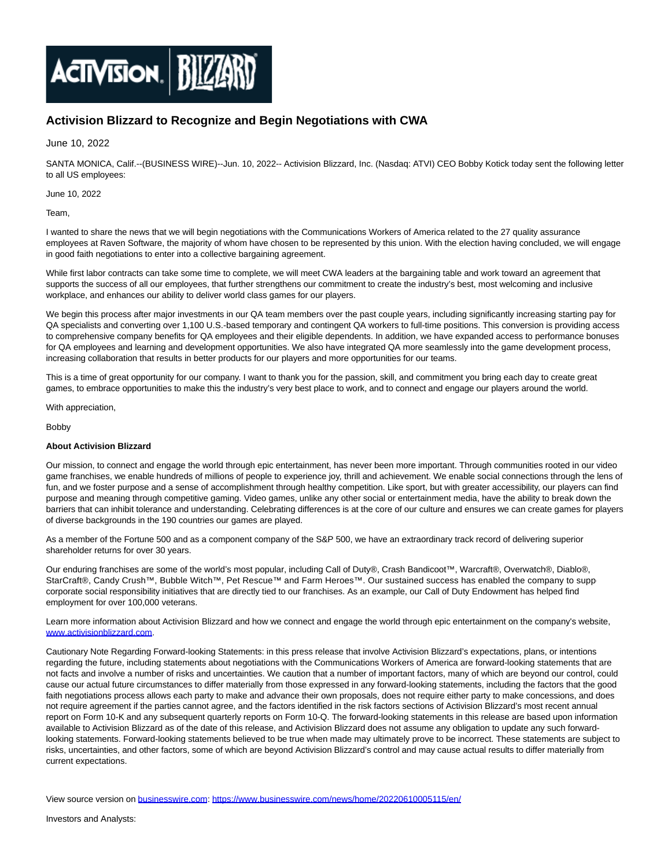

## **Activision Blizzard to Recognize and Begin Negotiations with CWA**

## June 10, 2022

SANTA MONICA, Calif.--(BUSINESS WIRE)--Jun. 10, 2022-- Activision Blizzard, Inc. (Nasdaq: ATVI) CEO Bobby Kotick today sent the following letter to all US employees:

June 10, 2022

Team,

I wanted to share the news that we will begin negotiations with the Communications Workers of America related to the 27 quality assurance employees at Raven Software, the majority of whom have chosen to be represented by this union. With the election having concluded, we will engage in good faith negotiations to enter into a collective bargaining agreement.

While first labor contracts can take some time to complete, we will meet CWA leaders at the bargaining table and work toward an agreement that supports the success of all our employees, that further strengthens our commitment to create the industry's best, most welcoming and inclusive workplace, and enhances our ability to deliver world class games for our players.

We begin this process after major investments in our QA team members over the past couple years, including significantly increasing starting pay for QA specialists and converting over 1,100 U.S.-based temporary and contingent QA workers to full-time positions. This conversion is providing access to comprehensive company benefits for QA employees and their eligible dependents. In addition, we have expanded access to performance bonuses for QA employees and learning and development opportunities. We also have integrated QA more seamlessly into the game development process, increasing collaboration that results in better products for our players and more opportunities for our teams.

This is a time of great opportunity for our company. I want to thank you for the passion, skill, and commitment you bring each day to create great games, to embrace opportunities to make this the industry's very best place to work, and to connect and engage our players around the world.

With appreciation,

Bobby

## **About Activision Blizzard**

Our mission, to connect and engage the world through epic entertainment, has never been more important. Through communities rooted in our video game franchises, we enable hundreds of millions of people to experience joy, thrill and achievement. We enable social connections through the lens of fun, and we foster purpose and a sense of accomplishment through healthy competition. Like sport, but with greater accessibility, our players can find purpose and meaning through competitive gaming. Video games, unlike any other social or entertainment media, have the ability to break down the barriers that can inhibit tolerance and understanding. Celebrating differences is at the core of our culture and ensures we can create games for players of diverse backgrounds in the 190 countries our games are played.

As a member of the Fortune 500 and as a component company of the S&P 500, we have an extraordinary track record of delivering superior shareholder returns for over 30 years.

Our enduring franchises are some of the world's most popular, including Call of Duty®, Crash Bandicoot™, Warcraft®, Overwatch®, Diablo®, StarCraft®, Candy Crush™, Bubble Witch™, Pet Rescue™ and Farm Heroes™. Our sustained success has enabled the company to supp corporate social responsibility initiatives that are directly tied to our franchises. As an example, our Call of Duty Endowment has helped find employment for over 100,000 veterans.

Learn more information about Activision Blizzard and how we connect and engage the world through epic entertainment on the company's website, [www.activisionblizzard.com.](https://cts.businesswire.com/ct/CT?id=smartlink&url=http%3A%2F%2Fwww.activisionblizzard.com&esheet=52745537&newsitemid=20220610005115&lan=en-US&anchor=www.activisionblizzard.com&index=1&md5=9dfad6948b8afc1f1a3ce40ce01c58a7)

Cautionary Note Regarding Forward-looking Statements: in this press release that involve Activision Blizzard's expectations, plans, or intentions regarding the future, including statements about negotiations with the Communications Workers of America are forward-looking statements that are not facts and involve a number of risks and uncertainties. We caution that a number of important factors, many of which are beyond our control, could cause our actual future circumstances to differ materially from those expressed in any forward-looking statements, including the factors that the good faith negotiations process allows each party to make and advance their own proposals, does not require either party to make concessions, and does not require agreement if the parties cannot agree, and the factors identified in the risk factors sections of Activision Blizzard's most recent annual report on Form 10-K and any subsequent quarterly reports on Form 10-Q. The forward-looking statements in this release are based upon information available to Activision Blizzard as of the date of this release, and Activision Blizzard does not assume any obligation to update any such forwardlooking statements. Forward-looking statements believed to be true when made may ultimately prove to be incorrect. These statements are subject to risks, uncertainties, and other factors, some of which are beyond Activision Blizzard's control and may cause actual results to differ materially from current expectations.

View source version on [businesswire.com:](http://businesswire.com/)<https://www.businesswire.com/news/home/20220610005115/en/>